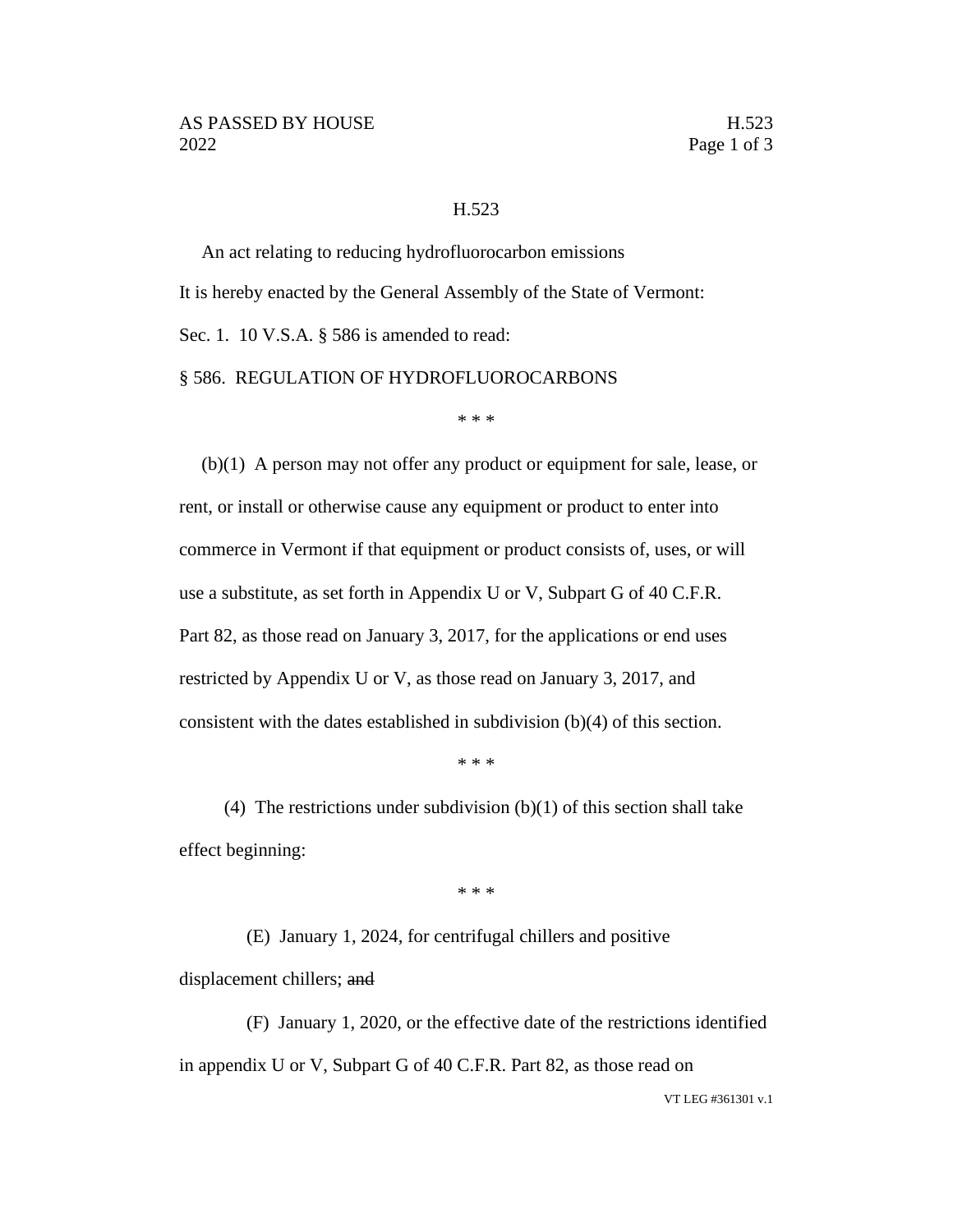## H.523

An act relating to reducing hydrofluorocarbon emissions It is hereby enacted by the General Assembly of the State of Vermont: Sec. 1. 10 V.S.A. § 586 is amended to read: § 586. REGULATION OF HYDROFLUOROCARBONS

\* \* \*

(b)(1) A person may not offer any product or equipment for sale, lease, or rent, or install or otherwise cause any equipment or product to enter into commerce in Vermont if that equipment or product consists of, uses, or will use a substitute, as set forth in Appendix U or V, Subpart G of 40 C.F.R. Part 82, as those read on January 3, 2017, for the applications or end uses restricted by Appendix U or V, as those read on January 3, 2017, and consistent with the dates established in subdivision (b)(4) of this section.

\* \* \*

(4) The restrictions under subdivision  $(b)(1)$  of this section shall take effect beginning:

\* \* \*

(E) January 1, 2024, for centrifugal chillers and positive displacement chillers; and

(F) January 1, 2020, or the effective date of the restrictions identified in appendix U or V, Subpart G of 40 C.F.R. Part 82, as those read on

VT LEG #361301 v.1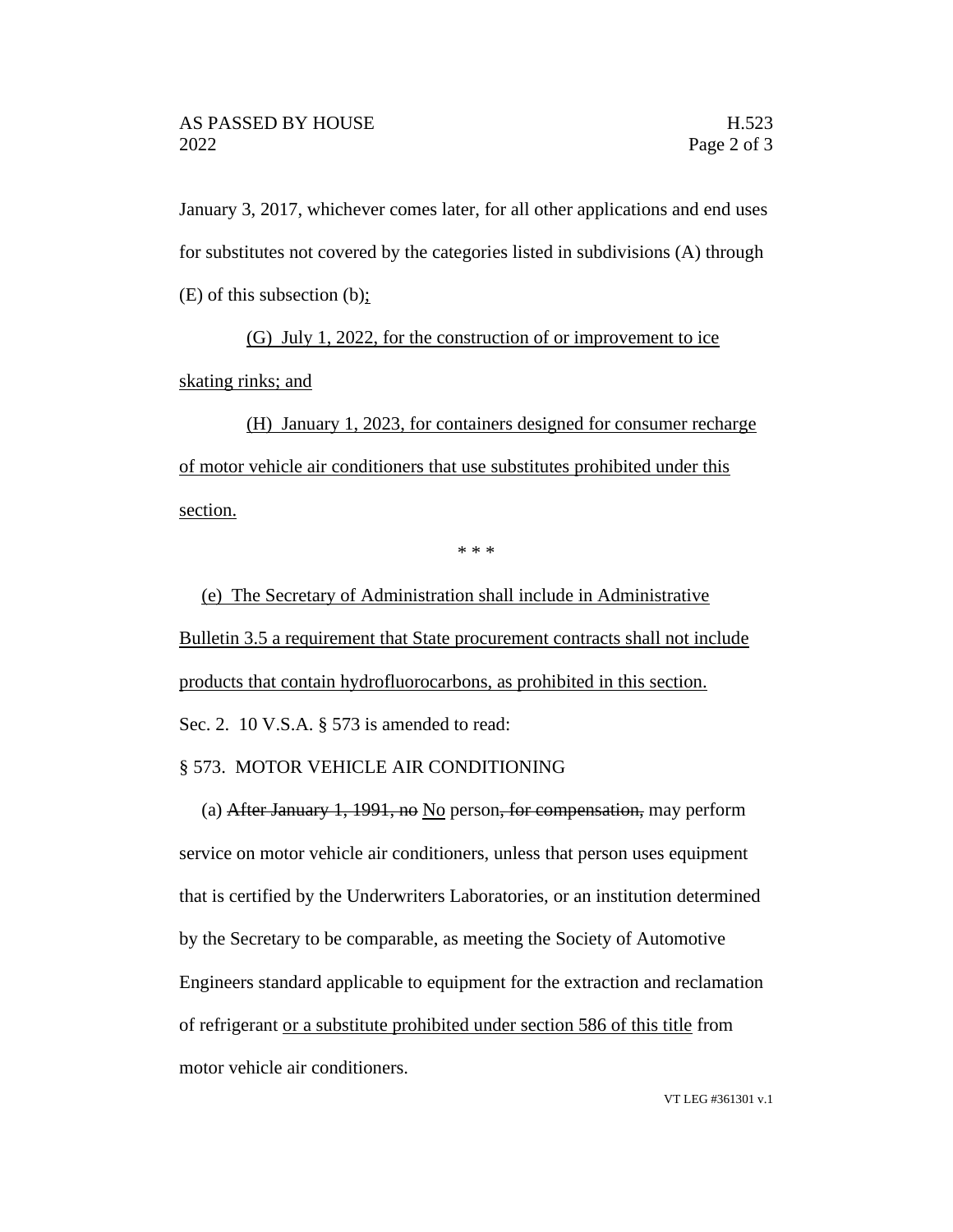January 3, 2017, whichever comes later, for all other applications and end uses for substitutes not covered by the categories listed in subdivisions (A) through (E) of this subsection (b);

(G) July 1, 2022, for the construction of or improvement to ice skating rinks; and

(H) January 1, 2023, for containers designed for consumer recharge of motor vehicle air conditioners that use substitutes prohibited under this section.

\* \* \*

(e) The Secretary of Administration shall include in Administrative Bulletin 3.5 a requirement that State procurement contracts shall not include products that contain hydrofluorocarbons, as prohibited in this section. Sec. 2. 10 V.S.A. § 573 is amended to read:

## § 573. MOTOR VEHICLE AIR CONDITIONING

(a) After January 1, 1991, no No person, for compensation, may perform service on motor vehicle air conditioners, unless that person uses equipment that is certified by the Underwriters Laboratories, or an institution determined by the Secretary to be comparable, as meeting the Society of Automotive Engineers standard applicable to equipment for the extraction and reclamation of refrigerant or a substitute prohibited under section 586 of this title from motor vehicle air conditioners.